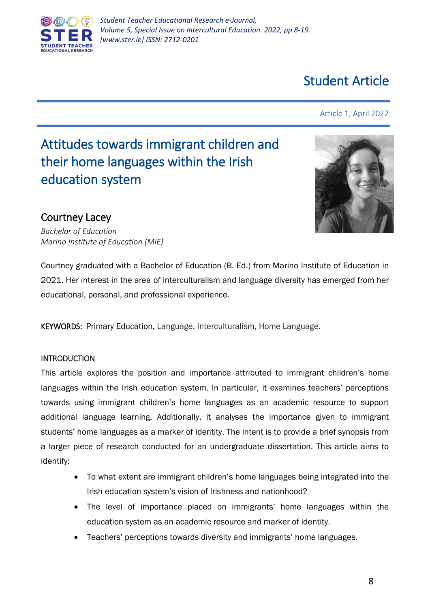

# Student Article

## Article 1, April 2022

# Attitudes towards immigrant children and their home languages within the Irish education system



# Courtney Lacey

*Bachelor of Education Marino Institute of Education (MIE)*

Courtney graduated with a Bachelor of Education (B. Ed.) from Marino Institute of Education in 2021. Her interest in the area of interculturalism and language diversity has emerged from her educational, personal, and professional experience.

KEYWORDS: Primary Education, Language, Interculturalism, Home Language.

# INTRODUCTION

This article explores the position and importance attributed to immigrant children's home languages within the Irish education system. In particular, it examines teachers' perceptions towards using immigrant children's home languages as an academic resource to support additional language learning. Additionally, it analyses the importance given to immigrant students' home languages as a marker of identity. The intent is to provide a brief synopsis from a larger piece of research conducted for an undergraduate dissertation. This article aims to identify:

- To what extent are immigrant children's home languages being integrated into the Irish education system's vision of Irishness and nationhood?
- The level of importance placed on immigrants' home languages within the education system as an academic resource and marker of identity.
- Teachers' perceptions towards diversity and immigrants' home languages.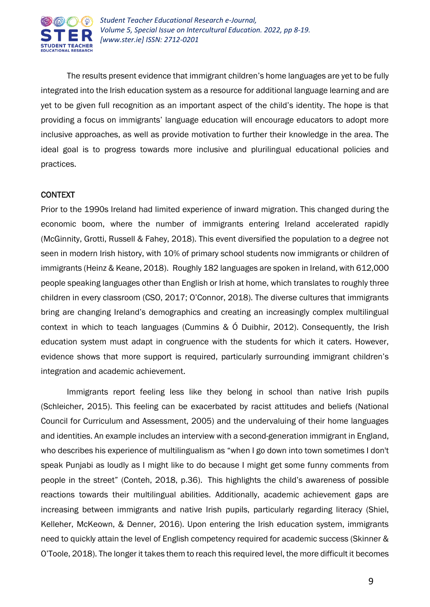

The results present evidence that immigrant children's home languages are yet to be fully integrated into the Irish education system as a resource for additional language learning and are yet to be given full recognition as an important aspect of the child's identity. The hope is that providing a focus on immigrants' language education will encourage educators to adopt more inclusive approaches, as well as provide motivation to further their knowledge in the area. The ideal goal is to progress towards more inclusive and plurilingual educational policies and practices.

### **CONTEXT**

Prior to the 1990s Ireland had limited experience of inward migration. This changed during the economic boom, where the number of immigrants entering Ireland accelerated rapidly (McGinnity, Grotti, Russell & Fahey, 2018). This event diversified the population to a degree not seen in modern Irish history, with 10% of primary school students now immigrants or children of immigrants (Heinz & Keane, 2018). Roughly 182 languages are spoken in Ireland, with 612,000 people speaking languages other than English or Irish at home, which translates to roughly three children in every classroom (CSO, 2017; O'Connor, 2018). The diverse cultures that immigrants bring are changing Ireland's demographics and creating an increasingly complex multilingual context in which to teach languages (Cummins & Ó Duibhir, 2012). Consequently, the Irish education system must adapt in congruence with the students for which it caters. However, evidence shows that more support is required, particularly surrounding immigrant children's integration and academic achievement.

Immigrants report feeling less like they belong in school than native Irish pupils (Schleicher, 2015). This feeling can be exacerbated by racist attitudes and beliefs (National Council for Curriculum and Assessment, 2005) and the undervaluing of their home languages and identities. An example includes an interview with a second-generation immigrant in England, who describes his experience of multilingualism as "when I go down into town sometimes I don't speak Punjabi as loudly as I might like to do because I might get some funny comments from people in the street" (Conteh, 2018, p.36). This highlights the child's awareness of possible reactions towards their multilingual abilities. Additionally, academic achievement gaps are increasing between immigrants and native Irish pupils, particularly regarding literacy (Shiel, Kelleher, McKeown, & Denner, 2016). Upon entering the Irish education system, immigrants need to quickly attain the level of English competency required for academic success (Skinner & O'Toole, 2018). The longer it takes them to reach this required level, the more difficult it becomes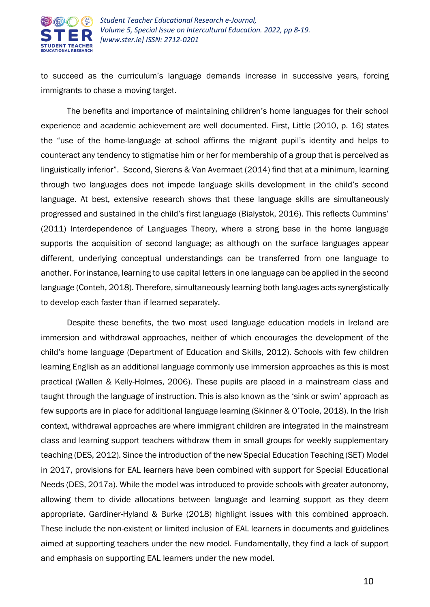

to succeed as the curriculum's language demands increase in successive years, forcing immigrants to chase a moving target.

The benefits and importance of maintaining children's home languages for their school experience and academic achievement are well documented. First, Little (2010, p. 16) states the "use of the home-language at school affirms the migrant pupil's identity and helps to counteract any tendency to stigmatise him or her for membership of a group that is perceived as linguistically inferior". Second, Sierens & Van Avermaet (2014) find that at a minimum, learning through two languages does not impede language skills development in the child's second language. At best, extensive research shows that these language skills are simultaneously progressed and sustained in the child's first language (Bialystok, 2016). This reflects Cummins' (2011) Interdependence of Languages Theory, where a strong base in the home language supports the acquisition of second language; as although on the surface languages appear different, underlying conceptual understandings can be transferred from one language to another. For instance, learning to use capital letters in one language can be applied in the second language (Conteh, 2018). Therefore, simultaneously learning both languages acts synergistically to develop each faster than if learned separately.

Despite these benefits, the two most used language education models in Ireland are immersion and withdrawal approaches, neither of which encourages the development of the child's home language (Department of Education and Skills, 2012). Schools with few children learning English as an additional language commonly use immersion approaches as this is most practical (Wallen & Kelly-Holmes, 2006). These pupils are placed in a mainstream class and taught through the language of instruction. This is also known as the 'sink or swim' approach as few supports are in place for additional language learning (Skinner & O'Toole, 2018). In the Irish context, withdrawal approaches are where immigrant children are integrated in the mainstream class and learning support teachers withdraw them in small groups for weekly supplementary teaching (DES, 2012). Since the introduction of the new Special Education Teaching (SET) Model in 2017, provisions for EAL learners have been combined with support for Special Educational Needs (DES, 2017a). While the model was introduced to provide schools with greater autonomy, allowing them to divide allocations between language and learning support as they deem appropriate, Gardiner-Hyland & Burke (2018) highlight issues with this combined approach. These include the non-existent or limited inclusion of EAL learners in documents and guidelines aimed at supporting teachers under the new model. Fundamentally, they find a lack of support and emphasis on supporting EAL learners under the new model.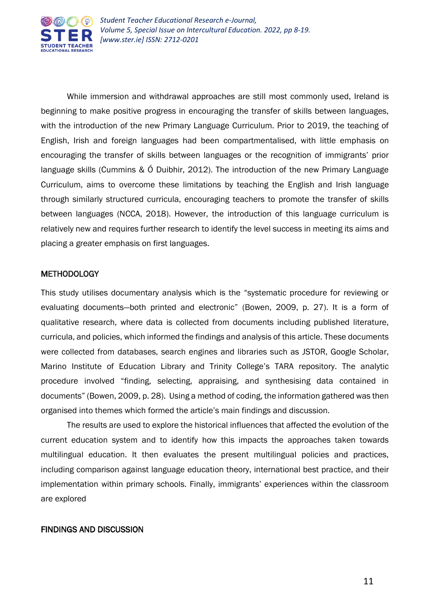

While immersion and withdrawal approaches are still most commonly used, Ireland is beginning to make positive progress in encouraging the transfer of skills between languages, with the introduction of the new Primary Language Curriculum. Prior to 2019, the teaching of English, Irish and foreign languages had been compartmentalised, with little emphasis on encouraging the transfer of skills between languages or the recognition of immigrants' prior language skills (Cummins & Ó Duibhir, 2012). The introduction of the new Primary Language Curriculum, aims to overcome these limitations by teaching the English and Irish language through similarly structured curricula, encouraging teachers to promote the transfer of skills between languages (NCCA, 2018). However, the introduction of this language curriculum is relatively new and requires further research to identify the level success in meeting its aims and placing a greater emphasis on first languages.

### **METHODOLOGY**

This study utilises documentary analysis which is the "systematic procedure for reviewing or evaluating documents—both printed and electronic" (Bowen, 2009, p. 27). It is a form of qualitative research, where data is collected from documents including published literature, curricula, and policies, which informed the findings and analysis of this article. These documents were collected from databases, search engines and libraries such as JSTOR, Google Scholar, Marino Institute of Education Library and Trinity College's TARA repository. The analytic procedure involved "finding, selecting, appraising, and synthesising data contained in documents" (Bowen, 2009, p. 28). Using a method of coding, the information gathered was then organised into themes which formed the article's main findings and discussion.

The results are used to explore the historical influences that affected the evolution of the current education system and to identify how this impacts the approaches taken towards multilingual education. It then evaluates the present multilingual policies and practices, including comparison against language education theory, international best practice, and their implementation within primary schools. Finally, immigrants' experiences within the classroom are explored

#### FINDINGS AND DISCUSSION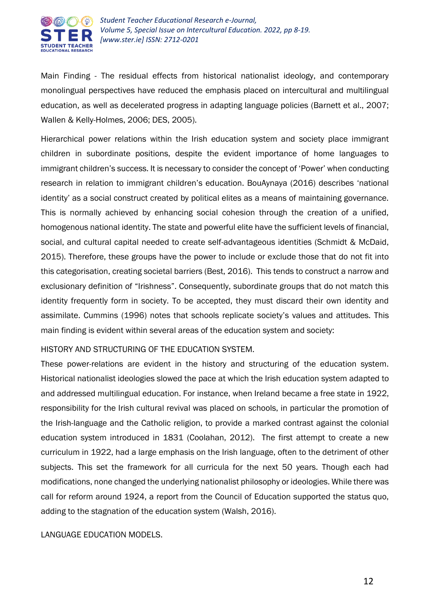

Main Finding - The residual effects from historical nationalist ideology, and contemporary monolingual perspectives have reduced the emphasis placed on intercultural and multilingual education, as well as decelerated progress in adapting language policies (Barnett et al., 2007; Wallen & Kelly-Holmes, 2006; DES, 2005).

Hierarchical power relations within the Irish education system and society place immigrant children in subordinate positions, despite the evident importance of home languages to immigrant children's success. It is necessary to consider the concept of 'Power' when conducting research in relation to immigrant children's education. BouAynaya (2016) describes 'national identity' as a social construct created by political elites as a means of maintaining governance. This is normally achieved by enhancing social cohesion through the creation of a unified, homogenous national identity. The state and powerful elite have the sufficient levels of financial, social, and cultural capital needed to create self-advantageous identities (Schmidt & McDaid, 2015). Therefore, these groups have the power to include or exclude those that do not fit into this categorisation, creating societal barriers (Best, 2016). This tends to construct a narrow and exclusionary definition of "Irishness". Consequently, subordinate groups that do not match this identity frequently form in society. To be accepted, they must discard their own identity and assimilate. Cummins (1996) notes that schools replicate society's values and attitudes. This main finding is evident within several areas of the education system and society:

#### HISTORY AND STRUCTURING OF THE EDUCATION SYSTEM.

These power-relations are evident in the history and structuring of the education system. Historical nationalist ideologies slowed the pace at which the Irish education system adapted to and addressed multilingual education. For instance, when Ireland became a free state in 1922, responsibility for the Irish cultural revival was placed on schools, in particular the promotion of the Irish-language and the Catholic religion, to provide a marked contrast against the colonial education system introduced in 1831 (Coolahan, 2012). The first attempt to create a new curriculum in 1922, had a large emphasis on the Irish language, often to the detriment of other subjects. This set the framework for all curricula for the next 50 years. Though each had modifications, none changed the underlying nationalist philosophy or ideologies. While there was call for reform around 1924, a report from the Council of Education supported the status quo, adding to the stagnation of the education system (Walsh, 2016).

#### LANGUAGE EDUCATION MODELS.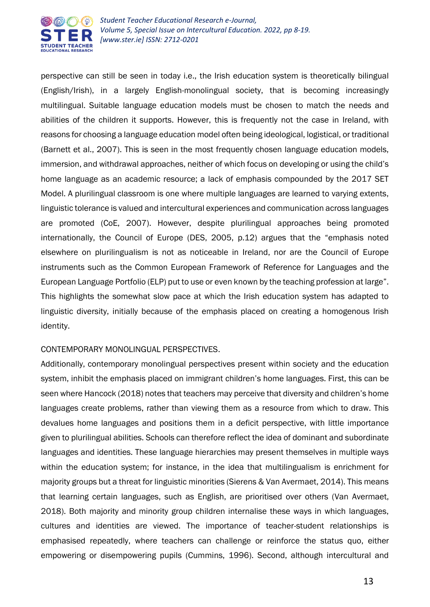

perspective can still be seen in today i.e., the Irish education system is theoretically bilingual (English/Irish), in a largely English-monolingual society, that is becoming increasingly multilingual. Suitable language education models must be chosen to match the needs and abilities of the children it supports. However, this is frequently not the case in Ireland, with reasons for choosing a language education model often being ideological, logistical, or traditional (Barnett et al., 2007). This is seen in the most frequently chosen language education models, immersion, and withdrawal approaches, neither of which focus on developing or using the child's home language as an academic resource; a lack of emphasis compounded by the 2017 SET Model. A plurilingual classroom is one where multiple languages are learned to varying extents, linguistic tolerance is valued and intercultural experiences and communication across languages are promoted (CoE, 2007). However, despite plurilingual approaches being promoted internationally, the Council of Europe (DES, 2005, p.12) argues that the "emphasis noted elsewhere on plurilingualism is not as noticeable in Ireland, nor are the Council of Europe instruments such as the Common European Framework of Reference for Languages and the European Language Portfolio (ELP) put to use or even known by the teaching profession at large". This highlights the somewhat slow pace at which the Irish education system has adapted to linguistic diversity, initially because of the emphasis placed on creating a homogenous Irish identity.

#### CONTEMPORARY MONOLINGUAL PERSPECTIVES.

Additionally, contemporary monolingual perspectives present within society and the education system, inhibit the emphasis placed on immigrant children's home languages. First, this can be seen where Hancock (2018) notes that teachers may perceive that diversity and children's home languages create problems, rather than viewing them as a resource from which to draw. This devalues home languages and positions them in a deficit perspective, with little importance given to plurilingual abilities. Schools can therefore reflect the idea of dominant and subordinate languages and identities. These language hierarchies may present themselves in multiple ways within the education system; for instance, in the idea that multilingualism is enrichment for majority groups but a threat for linguistic minorities (Sierens & Van Avermaet, 2014). This means that learning certain languages, such as English, are prioritised over others (Van Avermaet, 2018). Both majority and minority group children internalise these ways in which languages, cultures and identities are viewed. The importance of teacher-student relationships is emphasised repeatedly, where teachers can challenge or reinforce the status quo, either empowering or disempowering pupils (Cummins, 1996). Second, although intercultural and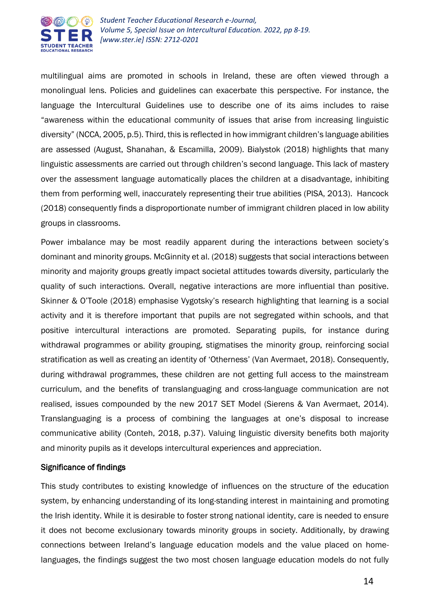

multilingual aims are promoted in schools in Ireland, these are often viewed through a monolingual lens. Policies and guidelines can exacerbate this perspective. For instance, the language the Intercultural Guidelines use to describe one of its aims includes to raise "awareness within the educational community of issues that arise from increasing linguistic diversity" (NCCA, 2005, p.5). Third, this is reflected in how immigrant children's language abilities are assessed (August, Shanahan, & Escamilla, 2009). Bialystok (2018) highlights that many linguistic assessments are carried out through children's second language. This lack of mastery over the assessment language automatically places the children at a disadvantage, inhibiting them from performing well, inaccurately representing their true abilities (PISA, 2013). Hancock (2018) consequently finds a disproportionate number of immigrant children placed in low ability groups in classrooms.

Power imbalance may be most readily apparent during the interactions between society's dominant and minority groups. McGinnity et al. (2018) suggests that social interactions between minority and majority groups greatly impact societal attitudes towards diversity, particularly the quality of such interactions. Overall, negative interactions are more influential than positive. Skinner & O'Toole (2018) emphasise Vygotsky's research highlighting that learning is a social activity and it is therefore important that pupils are not segregated within schools, and that positive intercultural interactions are promoted. Separating pupils, for instance during withdrawal programmes or ability grouping, stigmatises the minority group, reinforcing social stratification as well as creating an identity of 'Otherness' (Van Avermaet, 2018). Consequently, during withdrawal programmes, these children are not getting full access to the mainstream curriculum, and the benefits of translanguaging and cross-language communication are not realised, issues compounded by the new 2017 SET Model (Sierens & Van Avermaet, 2014). Translanguaging is a process of combining the languages at one's disposal to increase communicative ability (Conteh, 2018, p.37). Valuing linguistic diversity benefits both majority and minority pupils as it develops intercultural experiences and appreciation.

#### Significance of findings

This study contributes to existing knowledge of influences on the structure of the education system, by enhancing understanding of its long-standing interest in maintaining and promoting the Irish identity. While it is desirable to foster strong national identity, care is needed to ensure it does not become exclusionary towards minority groups in society. Additionally, by drawing connections between Ireland's language education models and the value placed on homelanguages, the findings suggest the two most chosen language education models do not fully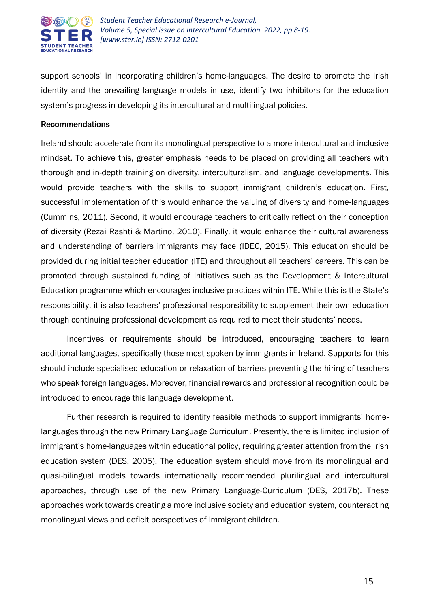

support schools' in incorporating children's home-languages. The desire to promote the Irish identity and the prevailing language models in use, identify two inhibitors for the education system's progress in developing its intercultural and multilingual policies.

#### Recommendations

Ireland should accelerate from its monolingual perspective to a more intercultural and inclusive mindset. To achieve this, greater emphasis needs to be placed on providing all teachers with thorough and in-depth training on diversity, interculturalism, and language developments. This would provide teachers with the skills to support immigrant children's education. First, successful implementation of this would enhance the valuing of diversity and home-languages (Cummins, 2011). Second, it would encourage teachers to critically reflect on their conception of diversity (Rezai Rashti & Martino, 2010). Finally, it would enhance their cultural awareness and understanding of barriers immigrants may face (IDEC, 2015). This education should be provided during initial teacher education (ITE) and throughout all teachers' careers. This can be promoted through sustained funding of initiatives such as the Development & Intercultural Education programme which encourages inclusive practices within ITE. While this is the State's responsibility, it is also teachers' professional responsibility to supplement their own education through continuing professional development as required to meet their students' needs.

Incentives or requirements should be introduced, encouraging teachers to learn additional languages, specifically those most spoken by immigrants in Ireland. Supports for this should include specialised education or relaxation of barriers preventing the hiring of teachers who speak foreign languages. Moreover, financial rewards and professional recognition could be introduced to encourage this language development.

Further research is required to identify feasible methods to support immigrants' homelanguages through the new Primary Language Curriculum. Presently, there is limited inclusion of immigrant's home-languages within educational policy, requiring greater attention from the Irish education system (DES, 2005). The education system should move from its monolingual and quasi-bilingual models towards internationally recommended plurilingual and intercultural approaches, through use of the new Primary Language-Curriculum (DES, 2017b). These approaches work towards creating a more inclusive society and education system, counteracting monolingual views and deficit perspectives of immigrant children.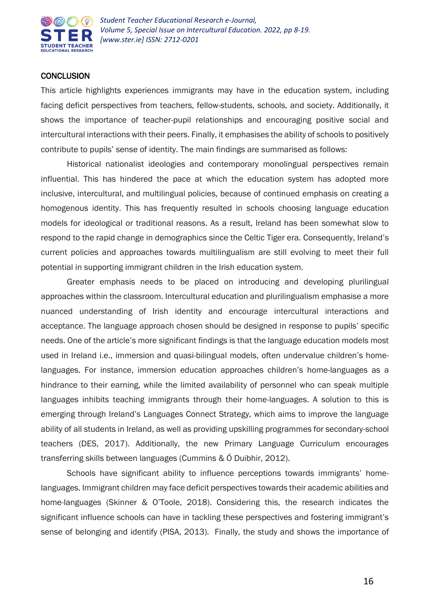

#### **CONCLUSION**

This article highlights experiences immigrants may have in the education system, including facing deficit perspectives from teachers, fellow-students, schools, and society. Additionally, it shows the importance of teacher-pupil relationships and encouraging positive social and intercultural interactions with their peers. Finally, it emphasises the ability of schools to positively contribute to pupils' sense of identity. The main findings are summarised as follows:

Historical nationalist ideologies and contemporary monolingual perspectives remain influential. This has hindered the pace at which the education system has adopted more inclusive, intercultural, and multilingual policies, because of continued emphasis on creating a homogenous identity. This has frequently resulted in schools choosing language education models for ideological or traditional reasons. As a result, Ireland has been somewhat slow to respond to the rapid change in demographics since the Celtic Tiger era. Consequently, Ireland's current policies and approaches towards multilingualism are still evolving to meet their full potential in supporting immigrant children in the Irish education system.

Greater emphasis needs to be placed on introducing and developing plurilingual approaches within the classroom. Intercultural education and plurilingualism emphasise a more nuanced understanding of Irish identity and encourage intercultural interactions and acceptance. The language approach chosen should be designed in response to pupils' specific needs. One of the article's more significant findings is that the language education models most used in Ireland i.e., immersion and quasi-bilingual models, often undervalue children's homelanguages. For instance, immersion education approaches children's home-languages as a hindrance to their earning, while the limited availability of personnel who can speak multiple languages inhibits teaching immigrants through their home-languages. A solution to this is emerging through Ireland's Languages Connect Strategy, which aims to improve the language ability of all students in Ireland, as well as providing upskilling programmes for secondary-school teachers (DES, 2017). Additionally, the new Primary Language Curriculum encourages transferring skills between languages (Cummins & Ó Duibhir, 2012).

Schools have significant ability to influence perceptions towards immigrants' homelanguages. Immigrant children may face deficit perspectives towards their academic abilities and home-languages (Skinner & O'Toole, 2018). Considering this, the research indicates the significant influence schools can have in tackling these perspectives and fostering immigrant's sense of belonging and identify (PISA, 2013). Finally, the study and shows the importance of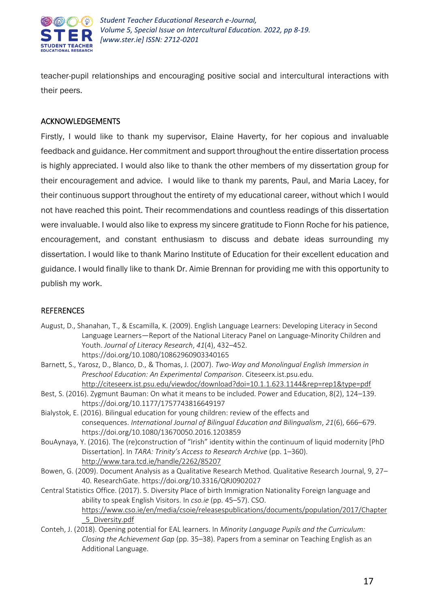

teacher-pupil relationships and encouraging positive social and intercultural interactions with their peers.

#### ACKNOWLEDGEMENTS

Firstly, I would like to thank my supervisor, Elaine Haverty, for her copious and invaluable feedback and guidance. Her commitment and support throughout the entire dissertation process is highly appreciated. I would also like to thank the other members of my dissertation group for their encouragement and advice. I would like to thank my parents, Paul, and Maria Lacey, for their continuous support throughout the entirety of my educational career, without which I would not have reached this point. Their recommendations and countless readings of this dissertation were invaluable. I would also like to express my sincere gratitude to Fionn Roche for his patience, encouragement, and constant enthusiasm to discuss and debate ideas surrounding my dissertation. I would like to thank Marino Institute of Education for their excellent education and guidance. I would finally like to thank Dr. Aimie Brennan for providing me with this opportunity to publish my work.

#### **REFERENCES**

- August, D., Shanahan, T., & Escamilla, K. (2009). English Language Learners: Developing Literacy in Second Language Learners—Report of the National Literacy Panel on Language-Minority Children and Youth. *Journal of Literacy Research*, *41*(4), 432–452. https://doi.org/10.1080/10862960903340165
- Barnett, S., Yarosz, D., Blanco, D., & Thomas, J. (2007). *Two-Way and Monolingual English Immersion in Preschool Education: An Experimental Comparison*. Citeseerx.ist.psu.edu. [http://citeseerx.ist.psu.edu/viewdoc/download?doi=10.1.1.623.1144&rep=rep1&type=pdf](http://citeseerx.ist.psu.edu/viewdoc/download?doi=10.1.1.623.1144&rep=rep1&type=pdff)
- Best, S. (2016). Zygmunt Bauman: On what it means to be included. Power and Education, 8(2), 124–139. https://doi.org/10.1177/1757743816649197
- Bialystok, E. (2016). Bilingual education for young children: review of the effects and consequences. *International Journal of Bilingual Education and Bilingualism*, *21*(6), 666–679. https://doi.org/10.1080/13670050.2016.1203859
- BouAynaya, Y. (2016). The (re)construction of "Irish" identity within the continuum of liquid modernity [PhD Dissertation]. In *TARA: Trinity's Access to Research Archive* (pp. 1–360). <http://www.tara.tcd.ie/handle/2262/85207>
- Bowen, G. (2009). Document Analysis as a Qualitative Research Method. Qualitative Research Journal, 9, 27– 40. ResearchGate. https://doi.org/10.3316/QRJ0902027
- Central Statistics Office. (2017). 5. Diversity Place of birth Immigration Nationality Foreign language and ability to speak English Visitors. In *cso.ie* (pp. 45–57). CSO. [https://www.cso.ie/en/media/csoie/releasespublications/documents/population/2017/Chapter](https://www.cso.ie/en/media/csoie/releasespublications/documents/population/2017/Chapter_5_Diversity.pdf) [\\_5\\_Diversity.pdf](https://www.cso.ie/en/media/csoie/releasespublications/documents/population/2017/Chapter_5_Diversity.pdf)
- Conteh, J. (2018). Opening potential for EAL learners. In *Minority Language Pupils and the Curriculum: Closing the Achievement Gap* (pp. 35–38). Papers from a seminar on Teaching English as an Additional Language.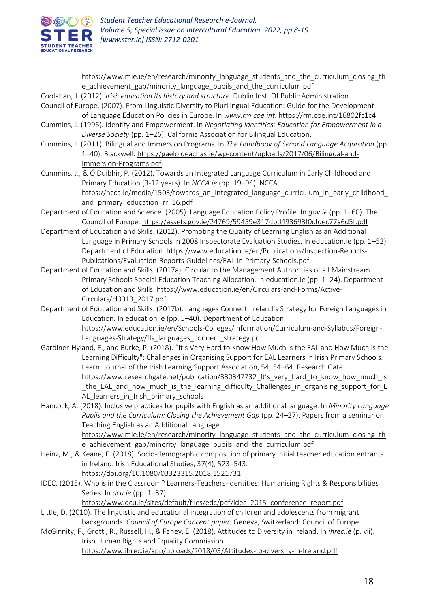

https://www.mie.ie/en/research/minority\_language\_students\_and\_the\_curriculum\_closing\_th e achievement gap/minority language pupils and the curriculum.pdf

Coolahan, J. (2012). *Irish education its history and structure*. Dublin Inst. Of Public Administration.

- Council of Europe. (2007). From Linguistic Diversity to Plurilingual Education: Guide for the Development of Language Education Policies in Europe. In *www.rm.coe.int*. https://rm.coe.int/16802fc1c4
- Cummins, J. (1996). Identity and Empowerment. In *Negotiating Identities: Education for Empowerment in a Diverse Society* (pp. 1–26). California Association for Bilingual Education.
- Cummins, J. (2011). Bilingual and Immersion Programs. In *The Handbook of Second Language Acquisition* (pp. 1–40). Blackwell. [https://gaeloideachas.ie/wp-content/uploads/2017/06/Bilingual-and-](https://gaeloideachas.ie/wp-content/uploads/2017/06/Bilingual-and-Immersion-Programs.pdf)[Immersion-Programs.pdf](https://gaeloideachas.ie/wp-content/uploads/2017/06/Bilingual-and-Immersion-Programs.pdf)
- Cummins, J., & Ó Duibhir, P. (2012). Towards an Integrated Language Curriculum in Early Childhood and Primary Education (3-12 years). In *NCCA.ie* (pp. 19–94). NCCA. https://ncca.ie/media/1503/towards\_an\_integrated\_language\_curriculum\_in\_early\_childhood and primary education rr 16.pdf
- Department of Education and Science. (2005). Language Education Policy Profile. In *gov.ie* (pp. 1–60). The Council of Europe. [https://assets.gov.ie/24769/59459e317dbd493693f0cfdec77a6d5f.pdf](https://assets.gov.ie/24769/59459e317dbd493693f0cfdec77a6d5f.pdf%20f)
- Department of Education and Skills. (2012). Promoting the Quality of Learning English as an Additional Language in Primary Schools in 2008 Inspectorate Evaluation Studies. In education.ie (pp. 1–52). Department of Education. https://www.education.ie/en/Publications/Inspection-Reports-Publications/Evaluation-Reports-Guidelines/EAL-in-Primary-Schools.pdf
- Department of Education and Skills. (2017a). Circular to the Management Authorities of all Mainstream Primary Schools Special Education Teaching Allocation. In education.ie (pp. 1–24). Department of Education and Skills. https://www.education.ie/en/Circulars-and-Forms/Active-Circulars/cl0013\_2017.pdf
- Department of Education and Skills. (2017b). Languages Connect: Ireland's Strategy for Foreign Languages in Education. In education.ie (pp. 5–40). Department of Education. https://www.education.ie/en/Schools-Colleges/Information/Curriculum-and-Syllabus/Foreign-Languages-Strategy/fls\_languages\_connect\_strategy.pdf
- Gardiner-Hyland, F., and Burke, P. (2018). "It's Very Hard to Know How Much is the EAL and How Much is the Learning Difficulty": Challenges in Organising Support for EAL Learners in Irish Primary Schools. Learn: Journal of the Irish Learning Support Association, 54, 54–64. Research Gate. https://www.researchgate.net/publication/330347732\_It's\_very\_hard\_to\_know\_how\_much\_is \_the\_EAL\_and\_how\_much\_is\_the\_learning\_difficulty\_Challenges\_in\_organising\_support\_for\_E AL learners in Irish primary schools
- Hancock, A. (2018). Inclusive practices for pupils with English as an additional language. In *Minority Language Pupils and the Curriculum: Closing the Achievement Gap* (pp. 24–27). Papers from a seminar on: Teaching English as an Additional Language. [https://www.mie.ie/en/research/minority\\_language\\_students\\_and\\_the\\_curriculum\\_closing\\_th](https://www.mie.ie/en/research/minority_language_students_and_the_curriculum_closing_the_achievement_gap/minority_language_pupils_and_the_curriculum.pdf)

e achievement gap/minority language pupils and the curriculum.pdf

- Heinz, M., & Keane, E. (2018). Socio-demographic composition of primary initial teacher education entrants in Ireland. Irish Educational Studies, 37(4), 523–543. https://doi.org/10.1080/03323315.2018.1521731
- IDEC. (2015). Who is in the Classroom? Learners-Teachers-Identities: Humanising Rights & Responsibilities Series. In *dcu.ie* (pp. 1–37).

[https://www.dcu.ie/sites/default/files/edc/pdf/idec\\_2015\\_conference\\_report.pdf](https://www.dcu.ie/sites/default/files/edc/pdf/idec_2015_conference_report.pdf)

- Little, D. (2010). The linguistic and educational integration of children and adolescents from migrant backgrounds. *Council of Europe Concept paper.* Geneva, Switzerland: Council of Europe.
- McGinnity, F., Grotti, R., Russell, H., & Fahey, É. (2018). Attitudes to Diversity in Ireland. In *ihrec.ie* (p. vii). Irish Human Rights and Equality Commission. <https://www.ihrec.ie/app/uploads/2018/03/Attitudes-to-diversity-in-Ireland.pdf>